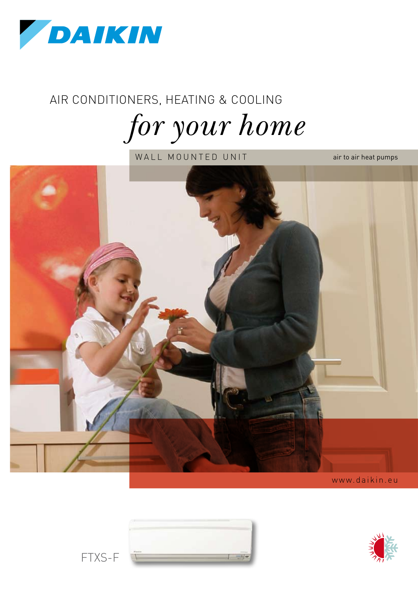

# Air conditioners, heating & cooling *for your home*

WALL MOUNTED UNIT



www.daikin.eu



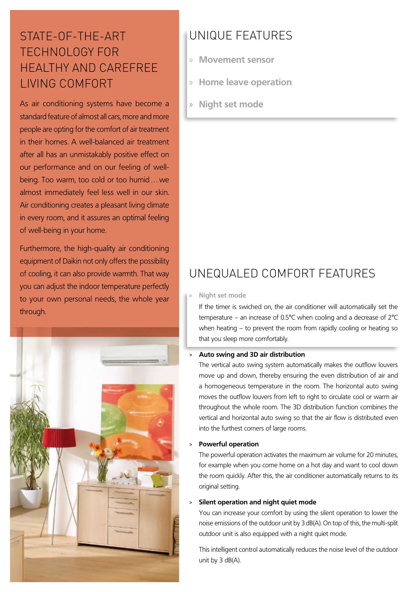## STATE-OF-THE-ART TECHNOLOGY FOR HEALTHY AND CAREFREE LIVING COMFORT

As air conditioning systems have become a standard feature of almost all cars, more and more people are opting for the comfort of air treatment in their homes. A well-balanced air treatment after all has an unmistakably positive effect on our performance and on our feeling of wellbeing. Too warm, too cold or too humid…we almost immediately feel less well in our skin. Air conditioning creates a pleasant living climate in every room, and it assures an optimal feeling of well-being in your home.

Furthermore, the high-quality air conditioning equipment of Daikin not only offers the possibility of cooling, it can also provide warmth. That way you can adjust the indoor temperature perfectly to your own personal needs, the whole year through.



# Unique features

- » **Movement sensor**
- » **Home leave operation**
- » **Night set mode**

# UNEQUALED COMFORT FEATURES

#### » **Night set mode**

If the timer is swiched on, the air conditioner will automatically set the temperature – an increase of 0.5°C when cooling and a decrease of 2°C when heating – to prevent the room from rapidly cooling or heating so that you sleep more comfortably.

#### > **Auto swing and 3D air distribution**

The vertical auto swing system automatically makes the outflow louvers move up and down, thereby ensuring the even distribution of air and a homogeneous temperature in the room. The horizontal auto swing moves the outflow louvers from left to right to circulate cool or warm air throughout the whole room. The 3D distribution function combines the vertical and horizontal auto swing so that the air flow is distributed even into the furthest corners of large rooms.

#### > **Powerful operation**

The powerful operation activates the maximum air volume for 20 minutes, for example when you come home on a hot day and want to cool down the room quickly. After this, the air conditioner automatically returns to its original setting.

#### > **Silent operation and night quiet mode**

You can increase your comfort by using the silent operation to lower the noise emissions of the outdoor unit by 3 dB(A). On top of this, the multi-split outdoor unit is also equipped with a night quiet mode.

This intelligent control automatically reduces the noise level of the outdoor unit by 3 dB(A).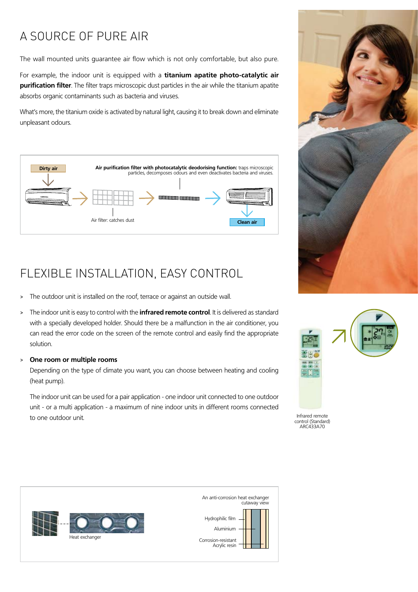# A SOURCE OF PURE AIR

The wall mounted units guarantee air flow which is not only comfortable, but also pure.

For example, the indoor unit is equipped with a **titanium apatite photo-catalytic air purification filter**. The filter traps microscopic dust particles in the air while the titanium apatite absorbs organic contaminants such as bacteria and viruses.

What's more, the titanium oxide is activated by natural light, causing it to break down and eliminate unpleasant odours.



# FLEXIBLE INSTALLATION, EASY CONTROL

- > The outdoor unit is installed on the roof, terrace or against an outside wall.
- > The indoor unit is easy to control with the **infrared remote control**. It is delivered as standard with a specially developed holder. Should there be a malfunction in the air conditioner, you can read the error code on the screen of the remote control and easily find the appropriate solution.

#### > **One room or multiple rooms**

Depending on the type of climate you want, you can choose between heating and cooling (heat pump).

The indoor unit can be used for a pair application - one indoor unit connected to one outdoor unit - or a multi application - a maximum of nine indoor units in different rooms connected to one outdoor unit.





Infrared remote control (Standard) ARC433A70



An anti-corrosion heat exchanger cutaway view Hydrophilic film Aluminium Corrosion-resistant Acrylic resin Π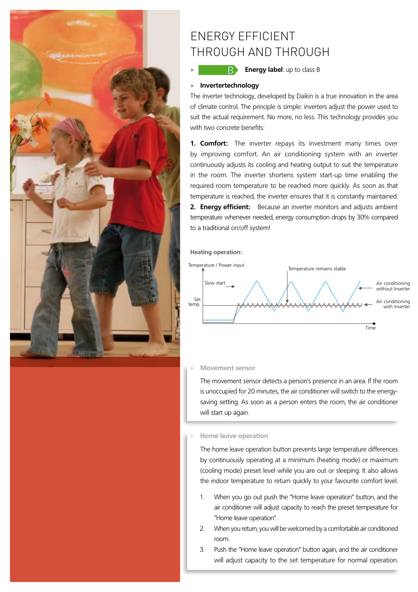

### ENERGY EFFICIENT THROUGH AND THROUGH

**B** Energy label: up to class B

#### > **Invertertechnology**

The inverter technology, developed by Daikin is a true innovation in the area of climate control. The principle is simple: inverters adjust the power used to suit the actual requirement. No more, no less. This technology provides you with two concrete benefits:

**1. Comfort:** The inverter repays its investment many times over by improving comfort. An air conditioning system with an inverter continuously adjusts its cooling and heating output to suit the temperature in the room. The inverter shortens system start-up time enabling the required room temperature to be reached more quickly. As soon as that temperature is reached, the inverter ensures that it is constantly maintained. **2. Energy efficient:** Because an inverter monitors and adjusts ambient temperature whenever needed, energy consumption drops by 30% compared to a traditional on/off system!

**Heating operation:**



#### » **Movement sensor**

The movement sensor detects a person's presence in an area. If the room is unoccupied for 20 minutes, the air conditioner will switch to the energysaving setting. As soon as a person enters the room, the air conditioner will start up again.

#### » **Home leave operation**

The home leave operation button prevents large temperature differences by continuously operating at a minimum (heating mode) or maximum (cooling mode) preset level while you are out or sleeping. It also allows the indoor temperature to return quickly to your favourite comfort level.

- 1. When you go out push the "Home leave operation" button, and the air conditioner will adjust capacity to reach the preset temperature for "Home leave operation".
- 2. When you return, you will be welcomed by a comfortable air conditioned room.
- 3. Push the "Home leave operation" button again, and the air conditioner will adjust capacity to the set temperature for normal operation.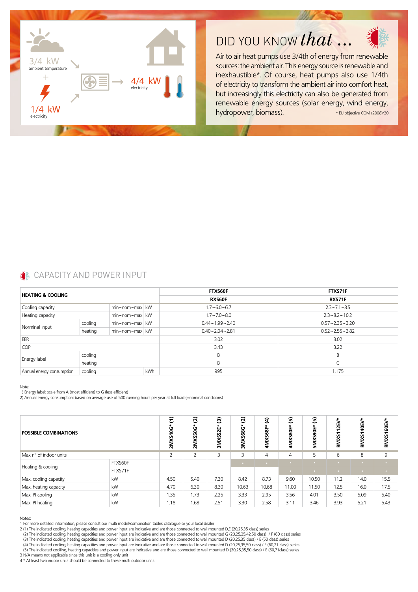





Air to air heat pumps use 3/4th of energy from renewable sources: the ambient air. This energy source is renewable and inexhaustible\*. Of course, heat pumps also use 1/4th of electricity to transform the ambient air into comfort heat, but increasingly this electricity can also be generated from renewable energy sources (solar energy, wind energy, hydropower, biomass). \* EU objective COM (2008)/30

### **CAPACITY AND POWER INPUT**

| <b>HEATING &amp; COOLING</b> |         |                            |     | <b>FTXS60F</b>       | FTXS71F              |  |  |
|------------------------------|---------|----------------------------|-----|----------------------|----------------------|--|--|
|                              |         |                            |     | <b>RXS60F</b>        | RXS71F               |  |  |
| Cooling capacity             |         | $min \sim nom \sim max$ kW |     | $1.7 - 6.0 - 6.7$    | $2.3 - 7.1 - 8.5$    |  |  |
| Heating capacity             |         | $min \sim nom \sim max$ kW |     | $1.7 - 7.0 - 8.0$    | $2.3 - 8.2 - 10.2$   |  |  |
| Norminal input               | cooling | min~nom~max kW             |     | $0.44 - 1.99 - 2.40$ | $0.57 - 2.35 - 3.20$ |  |  |
|                              | heating | min~nom~max kW             |     | $0.40 - 2.04 - 2.81$ | $0.52 - 2.55 - 3.82$ |  |  |
| EER                          |         |                            |     | 3.02                 | 3.02                 |  |  |
| <b>COP</b>                   |         |                            |     | 3.43                 | 3.22                 |  |  |
| Energy label                 | cooling |                            |     | B                    | R                    |  |  |
|                              | heating |                            |     | B                    |                      |  |  |
| Annual energy consumption    | cooling |                            | kWh | 995                  | 1,175                |  |  |

Note:

1) Energy label: scale from A (most efficient) to G (less efficient)

2) Annual energy consumption: based on average use of 500 running hours per year at full load (=nominal conditions)

| <b>POSSIBLE COMBINATIONS</b> |         | Ξ<br>ق<br>۽<br>2MXS | $\widehat{\omega}$<br>2MXS50G* | ම<br>52E*<br><b>SMXS</b> | ව<br>3MXS68G | $\widehat{\mathbf{E}}$<br><u>۾</u><br>ū<br>4MX! | $\mathbf{E}$<br>4MXS80E* | $\widehat{\mathbf{e}}$<br>*<br>Ë<br>5MXS90 | H<br>RM <sub>XS</sub> | RMXS140EV | RMXS160E |
|------------------------------|---------|---------------------|--------------------------------|--------------------------|--------------|-------------------------------------------------|--------------------------|--------------------------------------------|-----------------------|-----------|----------|
| Max n° of indoor units       |         | <sup>-</sup>        | $\overline{2}$                 | 3                        | 3            | 4                                               | 4                        | 5                                          | 6                     | 8         | 9        |
| Heating & cooling            | FTXS60F |                     |                                |                          | $\sim$       |                                                 |                          | $\sim$                                     |                       |           |          |
|                              | FTXS71F |                     |                                |                          |              |                                                 | $\sim$                   | <b>COLLEGE</b>                             |                       |           | $\sim$   |
| Max. cooling capacity        | kW      | 4.50                | 5.40                           | 7.30                     | 8.42         | 8.73                                            | 9.60                     | 10.50                                      | 11.2                  | 14.0      | 15.5     |
| Max. heating capacity        | kW      | 4.70                | 6.30                           | 8.30                     | 10.63        | 10.68                                           | 11.00                    | 11.50                                      | 12.5                  | 16.0      | 17.5     |
| Max. PI cooling              | kW      | 1.35                | 1.73                           | 2.25                     | 3.33         | 2.95                                            | 3.56                     | 4.01                                       | 3.50                  | 5.09      | 5.40     |
| Max. PI heating              | kW      | 1.18                | 1.68                           | 2.51                     | 3.30         | 2.58                                            | 3.11                     | 3.46                                       | 3.93                  | 5.21      | 5.43     |

Notes:

1 For more detailed information, please consult our multi model/combination tables catalogue or your local dealer

2 (1) The indicated cooling, heating capacities and power input are indicative and are those connected to wall mounted D,E (20,25,35 class) series

(2) The indicated cooling, heating capacities and power input are indicative and are those connected to wall mounted G (20,25,35,42,50 class) / F (60 class) series<br>(3) The indicated cooling, heating capacities and power in

 (4) The indicated cooling, heating capacities and power input are indicative and are those connected to wall mounted D (20,25,35,50 class) / F (60,71 class) series (5) The indicated cooliing, heating capacities and power input are indicative and are those connected to wall mounted D (20,25,35,50 class) / E (60,71class) series

3 N/A means not applicable since this unit is a cooling only unit

4 \* At least two indoor units should be connected to these multi outdoor units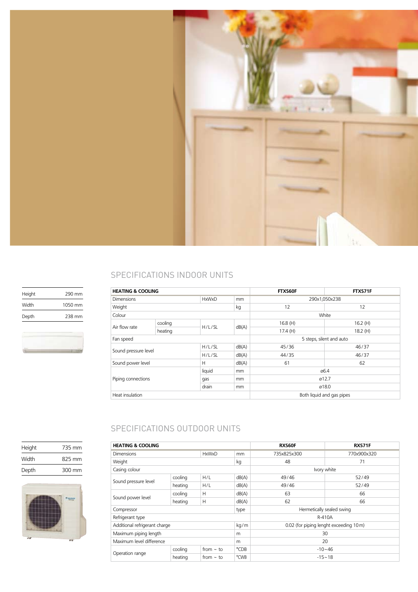

### SPECIFICATIONS INDOOR UNITS

| <b>HEATING &amp; COOLING</b>                 |         |        |       | FTXS60F                   | FTXS71F |  |
|----------------------------------------------|---------|--------|-------|---------------------------|---------|--|
| <b>Dimensions</b><br><b>HxWxD</b>            |         |        |       | 290x1,050x238             |         |  |
| Weight                                       |         |        | kg    | 12                        | 12      |  |
| Colour                                       |         |        |       | White                     |         |  |
|                                              | cooling |        | dB(A) | 16.8(H)                   | 16.2(H) |  |
| Air flow rate                                | heating | H/L/SL |       | 17.4(H)                   | 18.2(H) |  |
| Fan speed                                    |         |        |       | 5 steps, silent and auto  |         |  |
| Sound pressure level                         |         | H/L/SL | dB(A) | 45/36                     | 46/37   |  |
|                                              |         | H/L/SL | dB(A) | 44/35                     | 46/37   |  |
| Sound power level<br>Н                       |         |        | dB(A) | 61                        | 62      |  |
| liquid<br>Piping connections<br>qas<br>drain |         | mm     | ø6.4  |                           |         |  |
|                                              |         |        | mm    | ø12.7                     |         |  |
|                                              |         |        | mm    | ø18.0                     |         |  |
| Heat insulation                              |         |        |       | Both liquid and gas pipes |         |  |

### SPECIFICATIONS OUTDOOR UNITS

| <b>HEATING &amp; COOLING</b>      |         |                |       | <b>RXS60F</b>                          | RXS71F      |  |
|-----------------------------------|---------|----------------|-------|----------------------------------------|-------------|--|
| <b>Dimensions</b><br><b>HxWxD</b> |         |                | mm    | 735x825x300                            | 770x900x320 |  |
| Weight                            |         |                | kg    | 48                                     | 71          |  |
| Casing colour                     |         |                |       | Ivory white                            |             |  |
|                                   | cooling | H/L            | dB(A) | 49/46                                  | 52/49       |  |
| Sound pressure level              | heating | H/L            | dB(A) | 49/46                                  | 52/49       |  |
| Sound power level                 | cooling | H              | dB(A) | 63                                     | 66          |  |
|                                   | heating | Н              | dB(A) | 62                                     | 66          |  |
| Compressor                        |         |                | type  | Hermetically sealed swing              |             |  |
| Refrigerant type                  |         |                |       | R-410A                                 |             |  |
| Additional refrigerant charge     |         |                | kg/m  | 0.02 (for piping lenght exceeding 10m) |             |  |
| Maximum piping length             |         |                | m     | 30                                     |             |  |
| Maximum level difference          |         |                | m     | 20                                     |             |  |
|                                   | cooling | from $\sim$ to | °CDB  |                                        | $-10 - 46$  |  |
| Operation range                   | heating | from $\sim$ to | °CWB  | $-15 - 18$                             |             |  |

Height 290 mm Width 1050 mm Depth 238 mm



Height 735 mm Width 825 mm Depth 300 mm

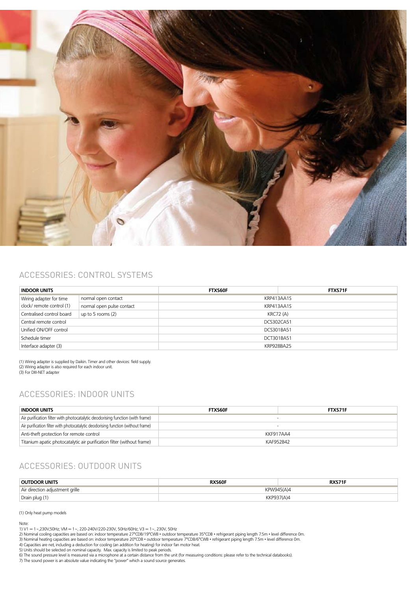

#### Accessories: Control systems

| <b>INDOOR UNITS</b>                              |                           | <b>FTXS60F</b>   | FTXS71F |  |  |  |
|--------------------------------------------------|---------------------------|------------------|---------|--|--|--|
| Wiring adapter for time                          | normal open contact       | KRP413AA1S       |         |  |  |  |
| clock/ remote control (1)                        | normal open pulse contact | KRP413AA1S       |         |  |  |  |
| Centralised control board<br>up to 5 rooms $(2)$ |                           | <b>KRC72 (A)</b> |         |  |  |  |
| Central remote control                           |                           | DCS302CA51       |         |  |  |  |
| Unified ON/OFF control                           |                           | DCS301BA51       |         |  |  |  |
| Schedule timer                                   |                           | DCT301BA51       |         |  |  |  |
| Interface adapter (3)                            |                           | KRP928BA25       |         |  |  |  |

(1) Wiring adapter is supplied by Daikin. Timer and other devices: field supply. (2) Wiring adapter is also required for each indoor unit. (3) For DIII-NET adapter

### Accessories: Indoor units

| <b>INDOOR UNITS</b>                                                              | <b>FTXS60F</b> | <b>FTXS71F</b> |  |  |
|----------------------------------------------------------------------------------|----------------|----------------|--|--|
| Air purification filter with photocatalytic deodorising function (with frame)    |                |                |  |  |
| Air purification filter with photocatalytic deodorising function (without frame) |                |                |  |  |
| Anti-theft protection for remote control                                         | KKF917AA4      |                |  |  |
| Titanium apatic photocatalytic air purification filter (without frame)           | KAF952B42      |                |  |  |

### Accessories: Outdoor units

| <b>OUTDOOR UNITS</b>            | <b>RXS60F</b> |  |  |  |  |
|---------------------------------|---------------|--|--|--|--|
| Air direction adjustment grille | KPW945(A)4    |  |  |  |  |
| Drain plug (1)                  | KKP937(A)4    |  |  |  |  |

(1) Only heat pump models

Note:<br>1) V1 = 1∼,230V,50Hz; VM = 1∼, 220-240V/220-230V, 50Hz/60Hz; V3 = 1∼, 230V, 50Hz<br>2) Nominal cooling capacities are based on: indoor temperature 27°CDB/19°CWB • outdoor temperature 35°CDB • refrigerant piping length

5) Units should be selected on nominal capacity. Max. capacity is limited to peak periods.<br>6) The sound pressure level is measured via a microphone at a certain distance from the unit (for measuring conditions: please ref